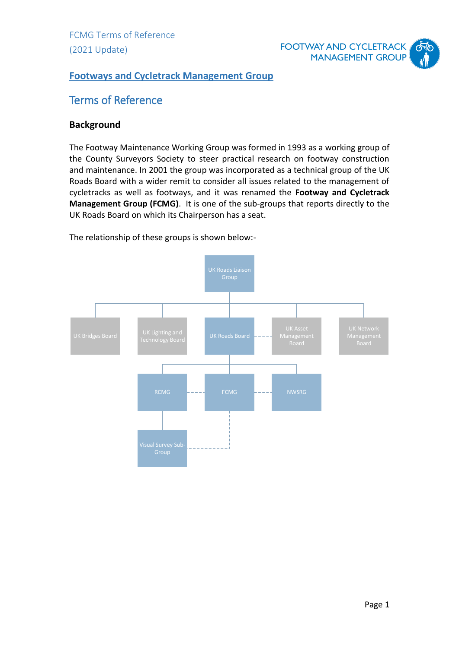

## **Footways and Cycletrack Management Group**

# Terms of Reference

### **Background**

The Footway Maintenance Working Group was formed in 1993 as a working group of the County Surveyors Society to steer practical research on footway construction and maintenance. In 2001 the group was incorporated as a technical group of the UK Roads Board with a wider remit to consider all issues related to the management of cycletracks as well as footways, and it was renamed the **Footway and Cycletrack Management Group (FCMG)**. It is one of the sub-groups that reports directly to the UK Roads Board on which its Chairperson has a seat.

The relationship of these groups is shown below:-

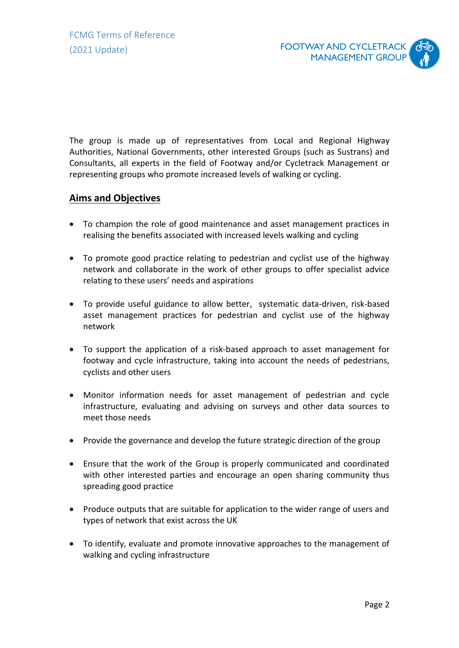

The group is made up of representatives from Local and Regional Highway Authorities, National Governments, other interested Groups (such as Sustrans) and Consultants, all experts in the field of Footway and/or Cycletrack Management or representing groups who promote increased levels of walking or cycling.

### **Aims and Objectives**

- To champion the role of good maintenance and asset management practices in realising the benefits associated with increased levels walking and cycling
- To promote good practice relating to pedestrian and cyclist use of the highway network and collaborate in the work of other groups to offer specialist advice relating to these users' needs and aspirations
- To provide useful guidance to allow better, systematic data-driven, risk-based asset management practices for pedestrian and cyclist use of the highway network
- To support the application of a risk-based approach to asset management for footway and cycle infrastructure, taking into account the needs of pedestrians, cyclists and other users
- Monitor information needs for asset management of pedestrian and cycle infrastructure, evaluating and advising on surveys and other data sources to meet those needs
- Provide the governance and develop the future strategic direction of the group
- Ensure that the work of the Group is properly communicated and coordinated with other interested parties and encourage an open sharing community thus spreading good practice
- Produce outputs that are suitable for application to the wider range of users and types of network that exist across the UK
- To identify, evaluate and promote innovative approaches to the management of walking and cycling infrastructure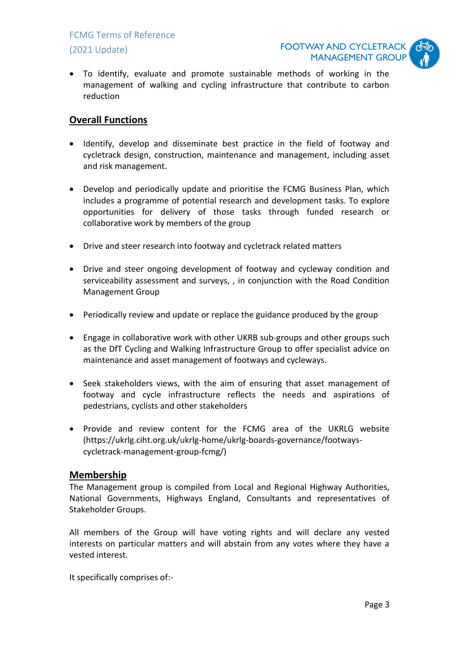## FCMG Terms of Reference (2021 Update)



 To identify, evaluate and promote sustainable methods of working in the management of walking and cycling infrastructure that contribute to carbon reduction

### **Overall Functions**

- Identify, develop and disseminate best practice in the field of footway and cycletrack design, construction, maintenance and management, including asset and risk management.
- Develop and periodically update and prioritise the FCMG Business Plan, which includes a programme of potential research and development tasks. To explore opportunities for delivery of those tasks through funded research or collaborative work by members of the group
- Drive and steer research into footway and cycletrack related matters
- Drive and steer ongoing development of footway and cycleway condition and serviceability assessment and surveys, , in conjunction with the Road Condition Management Group
- Periodically review and update or replace the guidance produced by the group
- Engage in collaborative work with other UKRB sub-groups and other groups such as the DfT Cycling and Walking Infrastructure Group to offer specialist advice on maintenance and asset management of footways and cycleways.
- Seek stakeholders views, with the aim of ensuring that asset management of footway and cycle infrastructure reflects the needs and aspirations of pedestrians, cyclists and other stakeholders
- Provide and review content for the FCMG area of the UKRLG website (https://ukrlg.ciht.org.uk/ukrlg-home/ukrlg-boards-governance/footwayscycletrack-management-group-fcmg/)

#### **Membership**

The Management group is compiled from Local and Regional Highway Authorities, National Governments, Highways England, Consultants and representatives of Stakeholder Groups.

All members of the Group will have voting rights and will declare any vested interests on particular matters and will abstain from any votes where they have a vested interest.

It specifically comprises of:-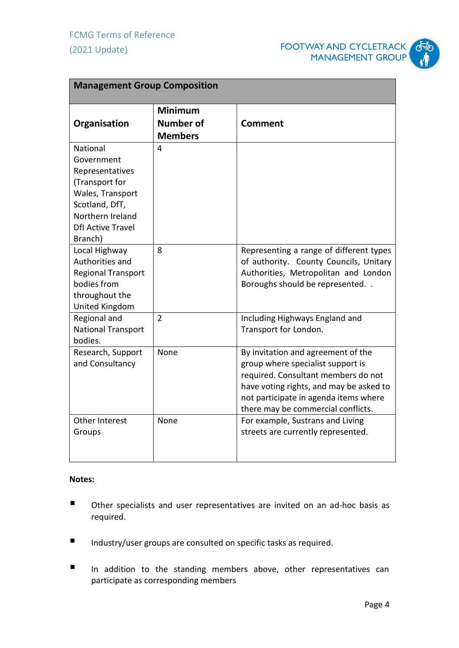

| <b>Management Group Composition</b>                                                                                                                                 |                                                      |                                                                                                                                                                                                                                          |
|---------------------------------------------------------------------------------------------------------------------------------------------------------------------|------------------------------------------------------|------------------------------------------------------------------------------------------------------------------------------------------------------------------------------------------------------------------------------------------|
| Organisation                                                                                                                                                        | <b>Minimum</b><br><b>Number of</b><br><b>Members</b> | <b>Comment</b>                                                                                                                                                                                                                           |
| <b>National</b><br>Government<br>Representatives<br>(Transport for<br>Wales, Transport<br>Scotland, DfT,<br>Northern Ireland<br><b>Dfl Active Travel</b><br>Branch) | 4                                                    |                                                                                                                                                                                                                                          |
| Local Highway<br>Authorities and<br><b>Regional Transport</b><br>bodies from<br>throughout the<br>United Kingdom                                                    | 8                                                    | Representing a range of different types<br>of authority. County Councils, Unitary<br>Authorities, Metropolitan and London<br>Boroughs should be represented                                                                              |
| Regional and<br><b>National Transport</b><br>bodies.                                                                                                                | $\overline{2}$                                       | Including Highways England and<br>Transport for London.                                                                                                                                                                                  |
| Research, Support<br>and Consultancy                                                                                                                                | None                                                 | By invitation and agreement of the<br>group where specialist support is<br>required. Consultant members do not<br>have voting rights, and may be asked to<br>not participate in agenda items where<br>there may be commercial conflicts. |
| Other Interest<br>Groups                                                                                                                                            | None                                                 | For example, Sustrans and Living<br>streets are currently represented.                                                                                                                                                                   |

#### **Notes:**

- Other specialists and user representatives are invited on an ad-hoc basis as required.
- Industry/user groups are consulted on specific tasks as required.
- In addition to the standing members above, other representatives can participate as corresponding members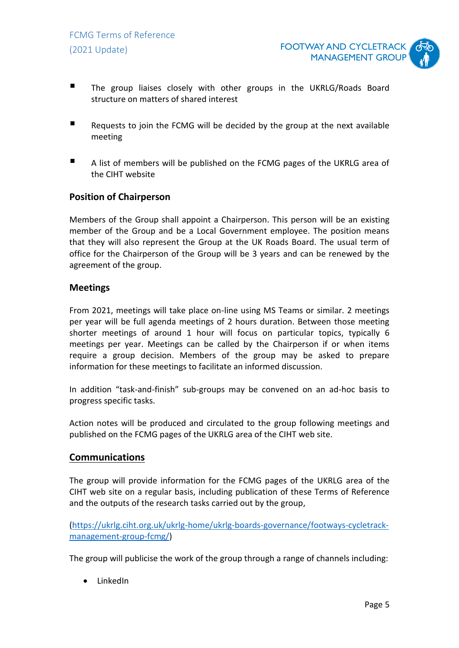

- The group liaises closely with other groups in the UKRLG/Roads Board structure on matters of shared interest
- Requests to join the FCMG will be decided by the group at the next available meeting
- A list of members will be published on the FCMG pages of the UKRLG area of the CIHT website

#### **Position of Chairperson**

Members of the Group shall appoint a Chairperson. This person will be an existing member of the Group and be a Local Government employee. The position means that they will also represent the Group at the UK Roads Board. The usual term of office for the Chairperson of the Group will be 3 years and can be renewed by the agreement of the group.

#### **Meetings**

From 2021, meetings will take place on-line using MS Teams or similar. 2 meetings per year will be full agenda meetings of 2 hours duration. Between those meeting shorter meetings of around 1 hour will focus on particular topics, typically 6 meetings per year. Meetings can be called by the Chairperson if or when items require a group decision. Members of the group may be asked to prepare information for these meetings to facilitate an informed discussion.

In addition "task-and-finish" sub-groups may be convened on an ad-hoc basis to progress specific tasks.

Action notes will be produced and circulated to the group following meetings and published on the FCMG pages of the UKRLG area of the CIHT web site.

#### **Communications**

The group will provide information for the FCMG pages of the UKRLG area of the CIHT web site on a regular basis, including publication of these Terms of Reference and the outputs of the research tasks carried out by the group,

[\(https://ukrlg.ciht.org.uk/ukrlg-home/ukrlg-boards-governance/footways-cycletrack](https://ukrlg.ciht.org.uk/ukrlg-home/ukrlg-boards-governance/footways-cycletrack-management-group-fcmg/)[management-group-fcmg/\)](https://ukrlg.ciht.org.uk/ukrlg-home/ukrlg-boards-governance/footways-cycletrack-management-group-fcmg/)

The group will publicise the work of the group through a range of channels including:

• LinkedIn